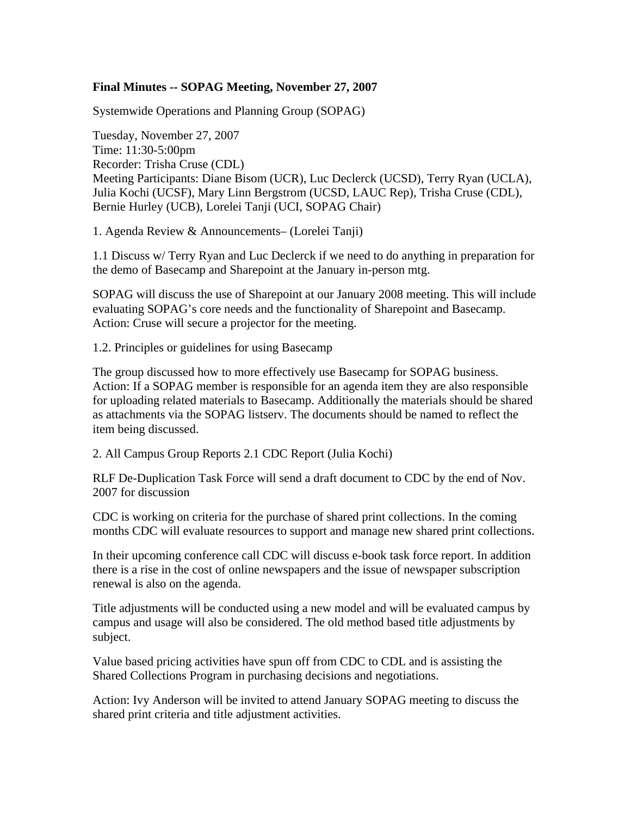# **Final Minutes -- SOPAG Meeting, November 27, 2007**

Systemwide Operations and Planning Group (SOPAG)

Tuesday, November 27, 2007 Time: 11:30-5:00pm Recorder: Trisha Cruse (CDL) Meeting Participants: Diane Bisom (UCR), Luc Declerck (UCSD), Terry Ryan (UCLA), Julia Kochi (UCSF), Mary Linn Bergstrom (UCSD, LAUC Rep), Trisha Cruse (CDL), Bernie Hurley (UCB), Lorelei Tanji (UCI, SOPAG Chair)

1. Agenda Review & Announcements– (Lorelei Tanji)

1.1 Discuss w/ Terry Ryan and Luc Declerck if we need to do anything in preparation for the demo of Basecamp and Sharepoint at the January in-person mtg.

SOPAG will discuss the use of Sharepoint at our January 2008 meeting. This will include evaluating SOPAG's core needs and the functionality of Sharepoint and Basecamp. Action: Cruse will secure a projector for the meeting.

1.2. Principles or guidelines for using Basecamp

The group discussed how to more effectively use Basecamp for SOPAG business. Action: If a SOPAG member is responsible for an agenda item they are also responsible for uploading related materials to Basecamp. Additionally the materials should be shared as attachments via the SOPAG listserv. The documents should be named to reflect the item being discussed.

2. All Campus Group Reports 2.1 CDC Report (Julia Kochi)

RLF De-Duplication Task Force will send a draft document to CDC by the end of Nov. 2007 for discussion

CDC is working on criteria for the purchase of shared print collections. In the coming months CDC will evaluate resources to support and manage new shared print collections.

In their upcoming conference call CDC will discuss e-book task force report. In addition there is a rise in the cost of online newspapers and the issue of newspaper subscription renewal is also on the agenda.

Title adjustments will be conducted using a new model and will be evaluated campus by campus and usage will also be considered. The old method based title adjustments by subject.

Value based pricing activities have spun off from CDC to CDL and is assisting the Shared Collections Program in purchasing decisions and negotiations.

Action: Ivy Anderson will be invited to attend January SOPAG meeting to discuss the shared print criteria and title adjustment activities.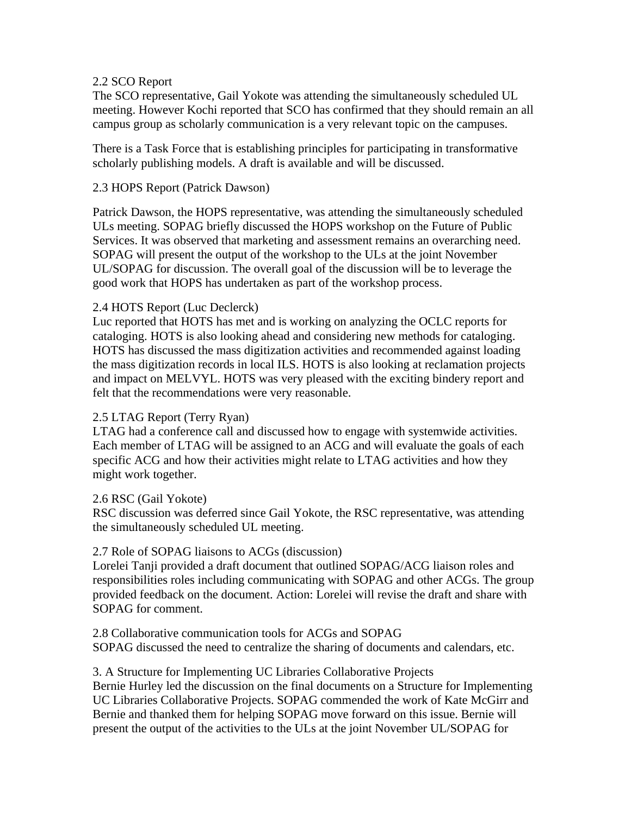# 2.2 SCO Report

The SCO representative, Gail Yokote was attending the simultaneously scheduled UL meeting. However Kochi reported that SCO has confirmed that they should remain an all campus group as scholarly communication is a very relevant topic on the campuses.

There is a Task Force that is establishing principles for participating in transformative scholarly publishing models. A draft is available and will be discussed.

# 2.3 HOPS Report (Patrick Dawson)

Patrick Dawson, the HOPS representative, was attending the simultaneously scheduled ULs meeting. SOPAG briefly discussed the HOPS workshop on the Future of Public Services. It was observed that marketing and assessment remains an overarching need. SOPAG will present the output of the workshop to the ULs at the joint November UL/SOPAG for discussion. The overall goal of the discussion will be to leverage the good work that HOPS has undertaken as part of the workshop process.

# 2.4 HOTS Report (Luc Declerck)

Luc reported that HOTS has met and is working on analyzing the OCLC reports for cataloging. HOTS is also looking ahead and considering new methods for cataloging. HOTS has discussed the mass digitization activities and recommended against loading the mass digitization records in local ILS. HOTS is also looking at reclamation projects and impact on MELVYL. HOTS was very pleased with the exciting bindery report and felt that the recommendations were very reasonable.

# 2.5 LTAG Report (Terry Ryan)

LTAG had a conference call and discussed how to engage with systemwide activities. Each member of LTAG will be assigned to an ACG and will evaluate the goals of each specific ACG and how their activities might relate to LTAG activities and how they might work together.

#### 2.6 RSC (Gail Yokote)

RSC discussion was deferred since Gail Yokote, the RSC representative, was attending the simultaneously scheduled UL meeting.

#### 2.7 Role of SOPAG liaisons to ACGs (discussion)

Lorelei Tanji provided a draft document that outlined SOPAG/ACG liaison roles and responsibilities roles including communicating with SOPAG and other ACGs. The group provided feedback on the document. Action: Lorelei will revise the draft and share with SOPAG for comment.

2.8 Collaborative communication tools for ACGs and SOPAG SOPAG discussed the need to centralize the sharing of documents and calendars, etc.

3. A Structure for Implementing UC Libraries Collaborative Projects Bernie Hurley led the discussion on the final documents on a Structure for Implementing UC Libraries Collaborative Projects. SOPAG commended the work of Kate McGirr and Bernie and thanked them for helping SOPAG move forward on this issue. Bernie will present the output of the activities to the ULs at the joint November UL/SOPAG for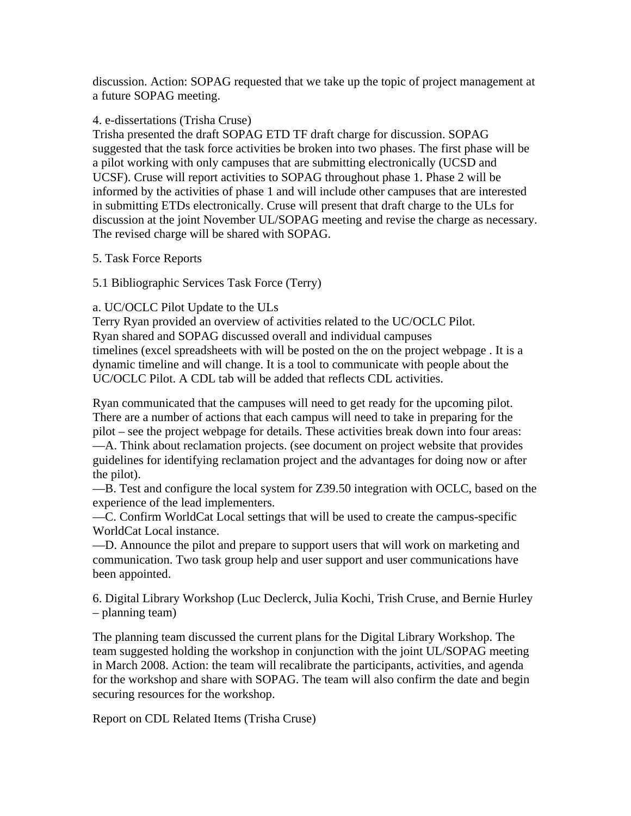discussion. Action: SOPAG requested that we take up the topic of project management at a future SOPAG meeting.

#### 4. e-dissertations (Trisha Cruse)

Trisha presented the draft SOPAG ETD TF draft charge for discussion. SOPAG suggested that the task force activities be broken into two phases. The first phase will be a pilot working with only campuses that are submitting electronically (UCSD and UCSF). Cruse will report activities to SOPAG throughout phase 1. Phase 2 will be informed by the activities of phase 1 and will include other campuses that are interested in submitting ETDs electronically. Cruse will present that draft charge to the ULs for discussion at the joint November UL/SOPAG meeting and revise the charge as necessary. The revised charge will be shared with SOPAG.

# 5. Task Force Reports

# 5.1 Bibliographic Services Task Force (Terry)

# a. UC/OCLC Pilot Update to the ULs

Terry Ryan provided an overview of activities related to the UC/OCLC Pilot. Ryan shared and SOPAG discussed overall and individual campuses timelines (excel spreadsheets with will be posted on the on the project webpage . It is a dynamic timeline and will change. It is a tool to communicate with people about the UC/OCLC Pilot. A CDL tab will be added that reflects CDL activities.

Ryan communicated that the campuses will need to get ready for the upcoming pilot. There are a number of actions that each campus will need to take in preparing for the pilot – see the project webpage for details. These activities break down into four areas: —A. Think about reclamation projects. (see document on project website that provides guidelines for identifying reclamation project and the advantages for doing now or after the pilot).

—B. Test and configure the local system for Z39.50 integration with OCLC, based on the experience of the lead implementers.

—C. Confirm WorldCat Local settings that will be used to create the campus-specific WorldCat Local instance.

—D. Announce the pilot and prepare to support users that will work on marketing and communication. Two task group help and user support and user communications have been appointed.

6. Digital Library Workshop (Luc Declerck, Julia Kochi, Trish Cruse, and Bernie Hurley – planning team)

The planning team discussed the current plans for the Digital Library Workshop. The team suggested holding the workshop in conjunction with the joint UL/SOPAG meeting in March 2008. Action: the team will recalibrate the participants, activities, and agenda for the workshop and share with SOPAG. The team will also confirm the date and begin securing resources for the workshop.

Report on CDL Related Items (Trisha Cruse)